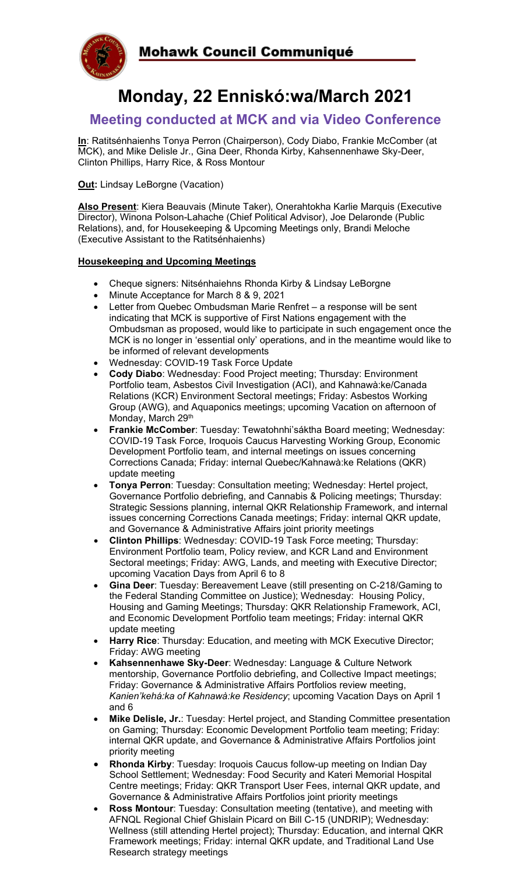

# **Monday, 22 Enniskó:wa/March 2021**

## **Meeting conducted at MCK and via Video Conference**

**In**: Ratitsénhaienhs Tonya Perron (Chairperson), Cody Diabo, Frankie McComber (at MCK), and Mike Delisle Jr., Gina Deer, Rhonda Kirby, Kahsennenhawe Sky-Deer, Clinton Phillips, Harry Rice, & Ross Montour

**Out:** Lindsay LeBorgne (Vacation)

**Also Present**: Kiera Beauvais (Minute Taker), Onerahtokha Karlie Marquis (Executive Director), Winona Polson-Lahache (Chief Political Advisor), Joe Delaronde (Public Relations), and, for Housekeeping & Upcoming Meetings only, Brandi Meloche (Executive Assistant to the Ratitsénhaienhs)

### **Housekeeping and Upcoming Meetings**

- Cheque signers: Nitsénhaiehns Rhonda Kirby & Lindsay LeBorgne
- Minute Acceptance for March 8 & 9, 2021
- Letter from Quebec Ombudsman Marie Renfret a response will be sent indicating that MCK is supportive of First Nations engagement with the Ombudsman as proposed, would like to participate in such engagement once the MCK is no longer in 'essential only' operations, and in the meantime would like to be informed of relevant developments
- Wednesday: COVID-19 Task Force Update
- **Cody Diabo**: Wednesday: Food Project meeting; Thursday: Environment Portfolio team, Asbestos Civil Investigation (ACI), and Kahnawà:ke/Canada Relations (KCR) Environment Sectoral meetings; Friday: Asbestos Working Group (AWG), and Aquaponics meetings; upcoming Vacation on afternoon of Monday, March 29th
- **Frankie McComber**: Tuesday: Tewatohnhi'sáktha Board meeting; Wednesday: COVID-19 Task Force, Iroquois Caucus Harvesting Working Group, Economic Development Portfolio team, and internal meetings on issues concerning Corrections Canada; Friday: internal Quebec/Kahnawà:ke Relations (QKR) update meeting
- **Tonya Perron**: Tuesday: Consultation meeting; Wednesday: Hertel project, Governance Portfolio debriefing, and Cannabis & Policing meetings; Thursday: Strategic Sessions planning, internal QKR Relationship Framework, and internal issues concerning Corrections Canada meetings; Friday: internal QKR update, and Governance & Administrative Affairs joint priority meetings
- **Clinton Phillips**: Wednesday: COVID-19 Task Force meeting; Thursday: Environment Portfolio team, Policy review, and KCR Land and Environment Sectoral meetings; Friday: AWG, Lands, and meeting with Executive Director; upcoming Vacation Days from April 6 to 8
- **Gina Deer**: Tuesday: Bereavement Leave (still presenting on C-218/Gaming to the Federal Standing Committee on Justice); Wednesday: Housing Policy, Housing and Gaming Meetings; Thursday: QKR Relationship Framework, ACI, and Economic Development Portfolio team meetings; Friday: internal QKR update meeting
- **Harry Rice:** Thursday: Education, and meeting with MCK Executive Director; Friday: AWG meeting
- **Kahsennenhawe Sky-Deer**: Wednesday: Language & Culture Network mentorship, Governance Portfolio debriefing, and Collective Impact meetings; Friday: Governance & Administrative Affairs Portfolios review meeting, *Kanien'kehá:ka of Kahnawà:ke Residency*; upcoming Vacation Days on April 1 and 6
- **Mike Delisle, Jr.**: Tuesday: Hertel project, and Standing Committee presentation on Gaming; Thursday: Economic Development Portfolio team meeting; Friday: internal QKR update, and Governance & Administrative Affairs Portfolios joint priority meeting
- **Rhonda Kirby**: Tuesday: Iroquois Caucus follow-up meeting on Indian Day School Settlement; Wednesday: Food Security and Kateri Memorial Hospital Centre meetings; Friday: QKR Transport User Fees, internal QKR update, and Governance & Administrative Affairs Portfolios joint priority meetings
- **Ross Montour**: Tuesday: Consultation meeting (tentative), and meeting with AFNQL Regional Chief Ghislain Picard on Bill C-15 (UNDRIP); Wednesday: Wellness (still attending Hertel project); Thursday: Education, and internal QKR Framework meetings; Friday: internal QKR update, and Traditional Land Use Research strategy meetings